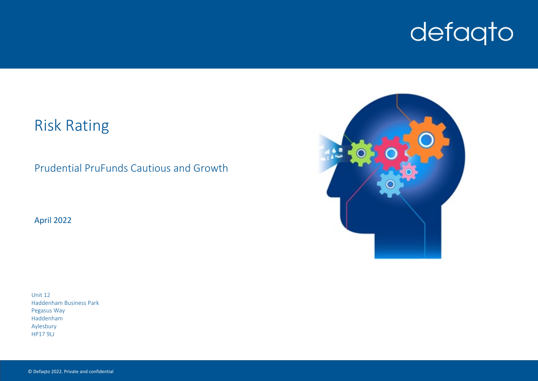# defaqto

# Risk Rating

Prudential PruFunds Cautious and Growth

April 2022

Unit 12 Haddenham Business Park Pegasus Way Haddenham Aylesbury HP17 9LJ

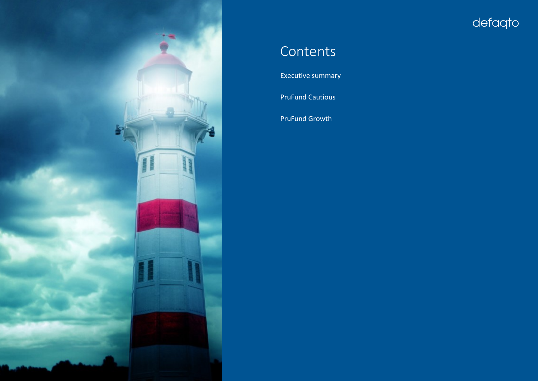

# defaqto

# **Contents**

[Executive](#page-2-0) [summary](#page-2-0)

[PruFund](#page-3-0) [Cautious](#page-3-0)

[PruFund](#page-4-0) [Growth](#page-4-0)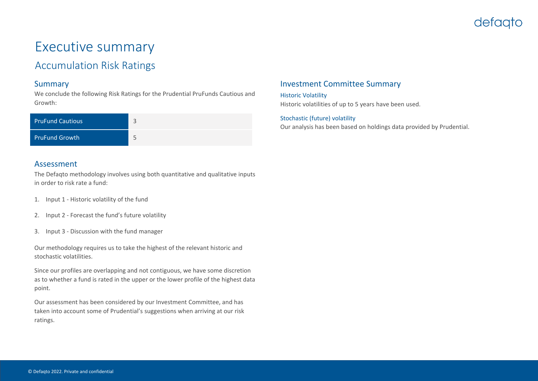### defaato

## <span id="page-2-0"></span>Executive summary

### Accumulation Risk Ratings

#### Summary

We conclude the following Risk Ratings for the Prudential PruFunds Cautious and Growth:

| <b>PruFund Cautious</b> |  |
|-------------------------|--|
| <b>PruFund Growth</b>   |  |

#### Assessment

The Defaqto methodology involves using both quantitative and qualitative inputs in order to risk rate a fund:

- 1. Input 1 Historic volatility of the fund
- 2. Input 2 Forecast the fund's future volatility
- 3. Input 3 Discussion with the fund manager

Our methodology requires us to take the highest of the relevant historic and stochastic volatilities.

Since our profiles are overlapping and not contiguous, we have some discretion as to whether a fund is rated in the upper or the lower profile of the highest data point.

Our assessment has been considered by our Investment Committee, and has taken into account some of Prudential's suggestions when arriving at our risk ratings.

#### Investment Committee Summary

Historic Volatility Historic volatilities of up to 5 years have been used.

Stochastic (future) volatility Our analysis has been based on holdings data provided by Prudential.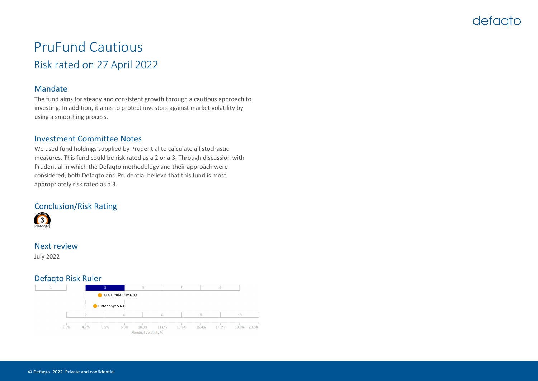### defagto

### <span id="page-3-0"></span>PruFund Cautious Risk rated on 27 April 2022

#### Mandate

The fund aims for steady and consistent growth through a cautious approach to investing. In addition, it aims to protect investors against market volatility by using a smoothing process.

#### Investment Committee Notes

We used fund holdings supplied by Prudential to calculate all stochastic measures. This fund could be risk rated as a 2 or a 3. Through discussion with Prudential in which the Defaqto methodology and their approach were considered, both Defaqto and Prudential believe that this fund is most appropriately risk rated as a 3.

#### Conclusion/Risk Rating

![](_page_3_Picture_7.jpeg)

#### Next review

July 2022

#### Defaqto Risk Ruler

![](_page_3_Figure_11.jpeg)